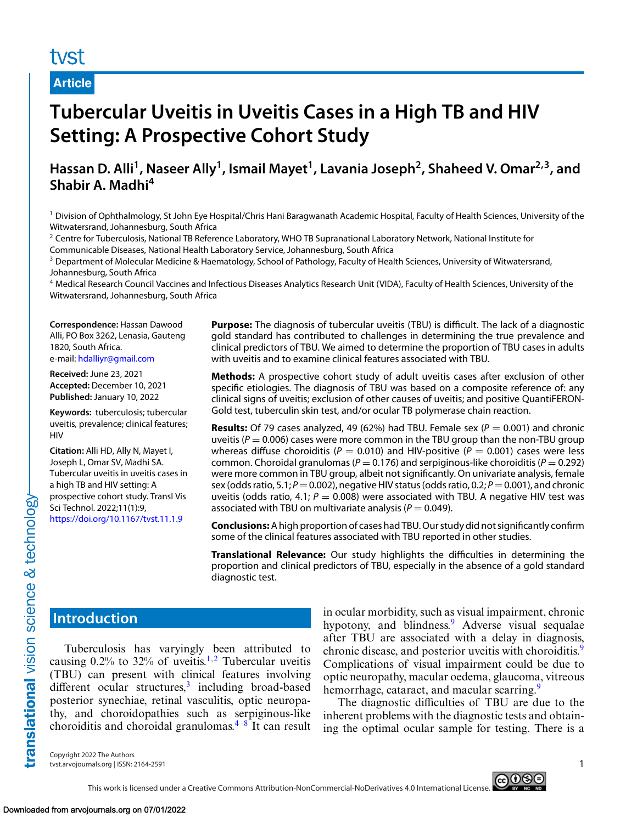#### **Article**

# **Tubercular Uveitis in Uveitis Cases in a High TB and HIV Setting: A Prospective Cohort Study**

# Hassan D. Alli<sup>1</sup>, Naseer Ally<sup>1</sup>, Ismail Mayet<sup>1</sup>, Lavania Joseph<sup>2</sup>, Shaheed V. Omar<sup>2,3</sup>, and **Shabir A. Madhi<sup>4</sup>**

<sup>1</sup> Division of Ophthalmology, St John Eye Hospital/Chris Hani Baragwanath Academic Hospital, Faculty of Health Sciences, University of the Witwatersrand, Johannesburg, South Africa

<sup>2</sup> Centre for Tuberculosis, National TB Reference Laboratory, WHO TB Supranational Laboratory Network, National Institute for Communicable Diseases, National Health Laboratory Service, Johannesburg, South Africa

<sup>3</sup> Department of Molecular Medicine & Haematology, School of Pathology, Faculty of Health Sciences, University of Witwatersrand, Johannesburg, South Africa

<sup>4</sup> Medical Research Council Vaccines and Infectious Diseases Analytics Research Unit (VIDA), Faculty of Health Sciences, University of the Witwatersrand, Johannesburg, South Africa

**Correspondence:** Hassan Dawood Alli, PO Box 3262, Lenasia, Gauteng 1820, South Africa. e-mail: [hdalliyr@gmail.com](mailto:hdalliyr@gmail.com)

**Received:** June 23, 2021 **Accepted:** December 10, 2021 **Published:** January 10, 2022

**Keywords:** tuberculosis; tubercular uveitis*,* prevalence; clinical features; HIV

**Citation:** Alli HD, Ally N, Mayet I, Joseph L, Omar SV, Madhi SA. Tubercular uveitis in uveitis cases in a high TB and HIV setting: A prospective cohort study. Transl Vis Sci Technol. 2022;11(1):9, <https://doi.org/10.1167/tvst.11.1.9>

**Purpose:** The diagnosis of tubercular uveitis (TBU) is difficult. The lack of a diagnostic gold standard has contributed to challenges in determining the true prevalence and clinical predictors of TBU. We aimed to determine the proportion of TBU cases in adults with uveitis and to examine clinical features associated with TBU.

**Methods:** A prospective cohort study of adult uveitis cases after exclusion of other specific etiologies. The diagnosis of TBU was based on a composite reference of: any clinical signs of uveitis; exclusion of other causes of uveitis; and positive QuantiFERON-Gold test, tuberculin skin test, and/or ocular TB polymerase chain reaction.

**Results:** Of 79 cases analyzed, 49 (62%) had TBU. Female sex ( $P = 0.001$ ) and chronic uveitis ( $P = 0.006$ ) cases were more common in the TBU group than the non-TBU group whereas diffuse choroiditis ( $P = 0.010$ ) and HIV-positive ( $P = 0.001$ ) cases were less common. Choroidal granulomas (*<sup>P</sup>* <sup>=</sup> 0.176) and serpiginous-like choroiditis (*<sup>P</sup>* <sup>=</sup> 0.292) were more common in TBU group, albeit not significantly. On univariate analysis, female sex (odds ratio, 5.1;  $P = 0.002$ ), negative HIV status (odds ratio, 0.2;  $P = 0.001$ ), and chronic uveitis (odds ratio, 4.1;  $P = 0.008$ ) were associated with TBU. A negative HIV test was associated with TBU on multivariate analysis ( $P = 0.049$ ).

**Conclusions:**A high proportion of cases had TBU. Our study did not significantly confirm some of the clinical features associated with TBU reported in other studies.

**Translational Relevance:** Our study highlights the difficulties in determining the proportion and clinical predictors of TBU, especially in the absence of a gold standard diagnostic test.

## **Introduction**

translational vision science & technology

Tuberculosis has varyingly been attributed to causing  $0.2\%$  $0.2\%$  $0.2\%$  to  $32\%$  of uveitis.<sup>1,2</sup> Tubercular uveitis (TBU) can present with clinical features involving  $differential$  ocular structures, $3$  including broad-based posterior synechiae, retinal vasculitis, optic neuropathy, and choroidopathies such as serpiginous-like choroiditis and choroidal granulomas. $4-8$  It can result in ocular morbidity, such as visual impairment, chronic hypotony, and blindness.<sup>[9](#page-7-0)</sup> Adverse visual sequalae after TBU are associated with a delay in diagnosis, chronic disease, and posterior uveitis with choroiditis.<sup>[9](#page-7-0)</sup> Complications of visual impairment could be due to optic neuropathy, macular oedema, glaucoma, vitreous hemorrhage, cataract, and macular scarring.<sup>[9](#page-7-0)</sup>

The diagnostic difficulties of TBU are due to the inherent problems with the diagnostic tests and obtaining the optimal ocular sample for testing. There is a

Copyright 2022 The Authors tvst.arvojournals.org | ISSN: 2164-2591 1

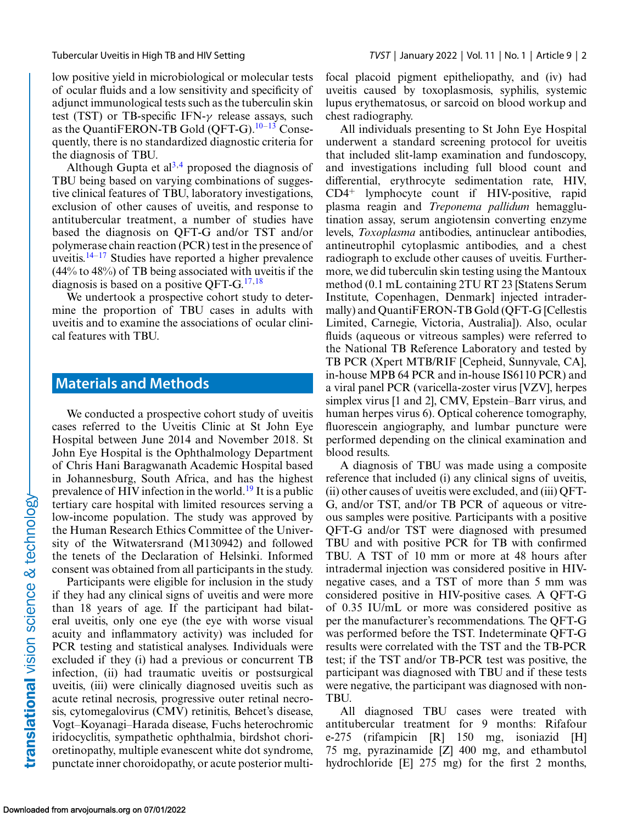low positive yield in microbiological or molecular tests of ocular fluids and a low sensitivity and specificity of adjunct immunological tests such as the tuberculin skin test (TST) or TB-specific IFN- $\gamma$  release assays, such as the QuantiFERON-TB Gold (QFT-G)[.10–13](#page-7-0) Consequently, there is no standardized diagnostic criteria for the diagnosis of TBU.

Although Gupta et  $al^{3,4}$  proposed the diagnosis of TBU being based on varying combinations of suggestive clinical features of TBU, laboratory investigations, exclusion of other causes of uveitis, and response to antitubercular treatment, a number of studies have based the diagnosis on QFT-G and/or TST and/or polymerase chain reaction (PCR) test in the presence of uveitis. $14-17$  Studies have reported a higher prevalence (44% to 48%) of TB being associated with uveitis if the diagnosis is based on a positive QFT-G. $17,18$ 

We undertook a prospective cohort study to determine the proportion of TBU cases in adults with uveitis and to examine the associations of ocular clinical features with TBU.

## **Materials and Methods**

We conducted a prospective cohort study of uveitis cases referred to the Uveitis Clinic at St John Eye Hospital between June 2014 and November 2018. St John Eye Hospital is the Ophthalmology Department of Chris Hani Baragwanath Academic Hospital based in Johannesburg, South Africa, and has the highest prevalence of HIV infection in the world.<sup>[19](#page-7-0)</sup> It is a public tertiary care hospital with limited resources serving a low-income population. The study was approved by the Human Research Ethics Committee of the University of the Witwatersrand (M130942) and followed the tenets of the Declaration of Helsinki. Informed consent was obtained from all participants in the study.

Participants were eligible for inclusion in the study if they had any clinical signs of uveitis and were more than 18 years of age. If the participant had bilateral uveitis, only one eye (the eye with worse visual acuity and inflammatory activity) was included for PCR testing and statistical analyses. Individuals were excluded if they (i) had a previous or concurrent TB infection, (ii) had traumatic uveitis or postsurgical uveitis, (iii) were clinically diagnosed uveitis such as acute retinal necrosis, progressive outer retinal necrosis, cytomegalovirus (CMV) retinitis, Behcet's disease, Vogt–Koyanagi–Harada disease, Fuchs heterochromic iridocyclitis, sympathetic ophthalmia, birdshot chorioretinopathy, multiple evanescent white dot syndrome, punctate inner choroidopathy, or acute posterior multifocal placoid pigment epitheliopathy, and (iv) had uveitis caused by toxoplasmosis, syphilis, systemic lupus erythematosus, or sarcoid on blood workup and chest radiography.

All individuals presenting to St John Eye Hospital underwent a standard screening protocol for uveitis that included slit-lamp examination and fundoscopy, and investigations including full blood count and differential, erythrocyte sedimentation rate, HIV, CD4<sup>+</sup> lymphocyte count if HIV-positive, rapid plasma reagin and *Treponema pallidum* hemagglutination assay, serum angiotensin converting enzyme levels, *Toxoplasma* antibodies, antinuclear antibodies, antineutrophil cytoplasmic antibodies, and a chest radiograph to exclude other causes of uveitis. Furthermore, we did tuberculin skin testing using the Mantoux method (0.1 mL containing 2TU RT 23 [Statens Serum Institute, Copenhagen, Denmark] injected intradermally) and QuantiFERON-TB Gold (QFT-G [Cellestis Limited, Carnegie, Victoria, Australia]). Also, ocular fluids (aqueous or vitreous samples) were referred to the National TB Reference Laboratory and tested by TB PCR (Xpert MTB/RIF [Cepheid, Sunnyvale, CA], in-house MPB 64 PCR and in-house IS6110 PCR) and a viral panel PCR (varicella-zoster virus [VZV], herpes simplex virus [1 and 2], CMV, Epstein–Barr virus, and human herpes virus 6). Optical coherence tomography, fluorescein angiography, and lumbar puncture were performed depending on the clinical examination and blood results.

A diagnosis of TBU was made using a composite reference that included (i) any clinical signs of uveitis, (ii) other causes of uveitis were excluded, and (iii) QFT-G, and/or TST, and/or TB PCR of aqueous or vitreous samples were positive. Participants with a positive QFT-G and/or TST were diagnosed with presumed TBU and with positive PCR for TB with confirmed TBU. A TST of 10 mm or more at 48 hours after intradermal injection was considered positive in HIVnegative cases, and a TST of more than 5 mm was considered positive in HIV-positive cases. A QFT-G of 0.35 IU/mL or more was considered positive as per the manufacturer's recommendations. The QFT-G was performed before the TST. Indeterminate QFT-G results were correlated with the TST and the TB-PCR test; if the TST and/or TB-PCR test was positive, the participant was diagnosed with TBU and if these tests were negative, the participant was diagnosed with non-TBU.

All diagnosed TBU cases were treated with antitubercular treatment for 9 months: Rifafour e-275 (rifampicin [R] 150 mg, isoniazid [H] 75 mg, pyrazinamide [Z] 400 mg, and ethambutol hydrochloride [E] 275 mg) for the first 2 months,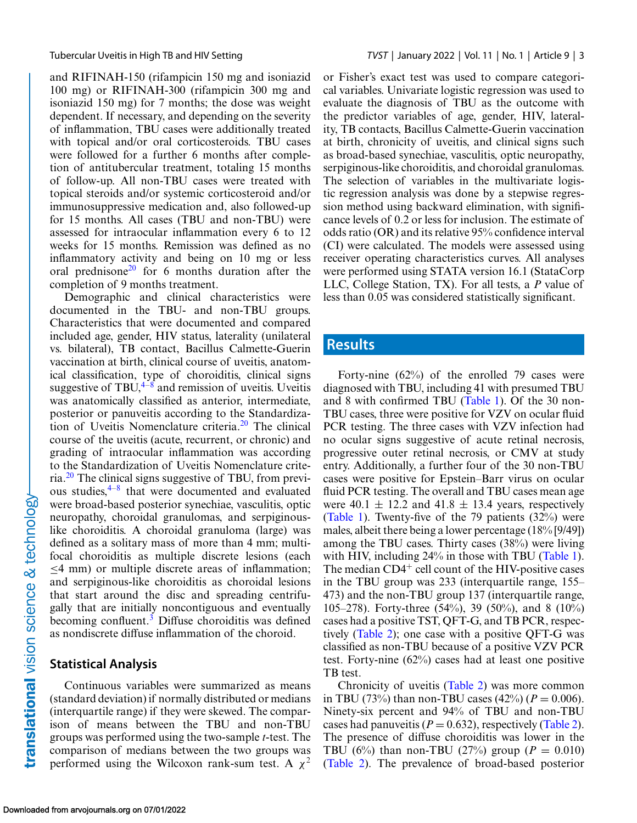and RIFINAH-150 (rifampicin 150 mg and isoniazid 100 mg) or RIFINAH-300 (rifampicin 300 mg and isoniazid 150 mg) for 7 months; the dose was weight dependent. If necessary, and depending on the severity of inflammation, TBU cases were additionally treated with topical and/or oral corticosteroids. TBU cases were followed for a further 6 months after completion of antitubercular treatment, totaling 15 months of follow-up. All non-TBU cases were treated with topical steroids and/or systemic corticosteroid and/or immunosuppressive medication and, also followed-up for 15 months. All cases (TBU and non-TBU) were assessed for intraocular inflammation every 6 to 12 weeks for 15 months. Remission was defined as no inflammatory activity and being on 10 mg or less oral prednisone<sup>20</sup> for 6 months duration after the completion of 9 months treatment.

Demographic and clinical characteristics were documented in the TBU- and non-TBU groups. Characteristics that were documented and compared included age, gender, HIV status, laterality (unilateral vs. bilateral), TB contact, Bacillus Calmette-Guerin vaccination at birth, clinical course of uveitis, anatomical classification, type of choroiditis, clinical signs suggestive of TBU, $4\frac{1}{8}$  and remission of uveitis. Uveitis was anatomically classified as anterior, intermediate, posterior or panuveitis according to the Standardization of Uveitis Nomenclature criteria. $2<sup>0</sup>$  The clinical course of the uveitis (acute, recurrent, or chronic) and grading of intraocular inflammation was according to the Standardization of Uveitis Nomenclature criteria[.20](#page-7-0) The clinical signs suggestive of TBU, from previous studies[,4–8](#page-7-0) that were documented and evaluated were broad-based posterior synechiae, vasculitis, optic neuropathy, choroidal granulomas, and serpiginouslike choroiditis. A choroidal granuloma (large) was defined as a solitary mass of more than 4 mm; multifocal choroiditis as multiple discrete lesions (each ≤4 mm) or multiple discrete areas of inflammation; and serpiginous-like choroiditis as choroidal lesions that start around the disc and spreading centrifugally that are initially noncontiguous and eventually becoming confluent.<sup>[3](#page-7-0)</sup> Diffuse choroiditis was defined as nondiscrete diffuse inflammation of the choroid.

#### **Statistical Analysis**

Continuous variables were summarized as means (standard deviation) if normally distributed or medians (interquartile range) if they were skewed. The comparison of means between the TBU and non-TBU groups was performed using the two-sample *t*-test. The comparison of medians between the two groups was performed using the Wilcoxon rank-sum test. A  $\chi^2$ 

or Fisher's exact test was used to compare categorical variables. Univariate logistic regression was used to evaluate the diagnosis of TBU as the outcome with the predictor variables of age, gender, HIV, laterality, TB contacts, Bacillus Calmette-Guerin vaccination at birth, chronicity of uveitis, and clinical signs such as broad-based synechiae, vasculitis, optic neuropathy, serpiginous-like choroiditis, and choroidal granulomas. The selection of variables in the multivariate logistic regression analysis was done by a stepwise regression method using backward elimination, with significance levels of 0.2 or less for inclusion. The estimate of odds ratio (OR) and its relative 95% confidence interval (CI) were calculated. The models were assessed using receiver operating characteristics curves. All analyses were performed using STATA version 16.1 (StataCorp LLC, College Station, TX). For all tests, a *P* value of less than 0.05 was considered statistically significant.

## **Results**

Forty-nine (62%) of the enrolled 79 cases were diagnosed with TBU, including 41 with presumed TBU and 8 with confirmed TBU [\(Table 1\)](#page-3-0). Of the 30 non-TBU cases, three were positive for VZV on ocular fluid PCR testing. The three cases with VZV infection had no ocular signs suggestive of acute retinal necrosis, progressive outer retinal necrosis, or CMV at study entry. Additionally, a further four of the 30 non-TBU cases were positive for Epstein–Barr virus on ocular fluid PCR testing. The overall and TBU cases mean age were 40.1  $\pm$  12.2 and 41.8  $\pm$  13.4 years, respectively [\(Table 1\)](#page-3-0). Twenty-five of the 79 patients (32%) were males, albeit there being a lower percentage (18% [9/49]) among the TBU cases. Thirty cases (38%) were living with HIV, including 24% in those with TBU [\(Table 1\)](#page-3-0). The median  $CD4<sup>+</sup>$  cell count of the HIV-positive cases in the TBU group was 233 (interquartile range, 155– 473) and the non-TBU group 137 (interquartile range, 105–278). Forty-three (54%), 39 (50%), and 8 (10%) cases had a positive TST, QFT-G, and TB PCR, respectively [\(Table 2\)](#page-4-0); one case with a positive QFT-G was classified as non-TBU because of a positive VZV PCR test. Forty-nine (62%) cases had at least one positive TB test.

Chronicity of uveitis [\(Table 2\)](#page-4-0) was more common in TBU (73%) than non-TBU cases (42%) ( $P = 0.006$ ). Ninety-six percent and 94% of TBU and non-TBU cases had panuveitis ( $P = 0.632$ ), respectively [\(Table 2\)](#page-4-0). The presence of diffuse choroiditis was lower in the TBU (6%) than non-TBU (27%) group ( $P = 0.010$ ) [\(Table 2\)](#page-4-0). The prevalence of broad-based posterior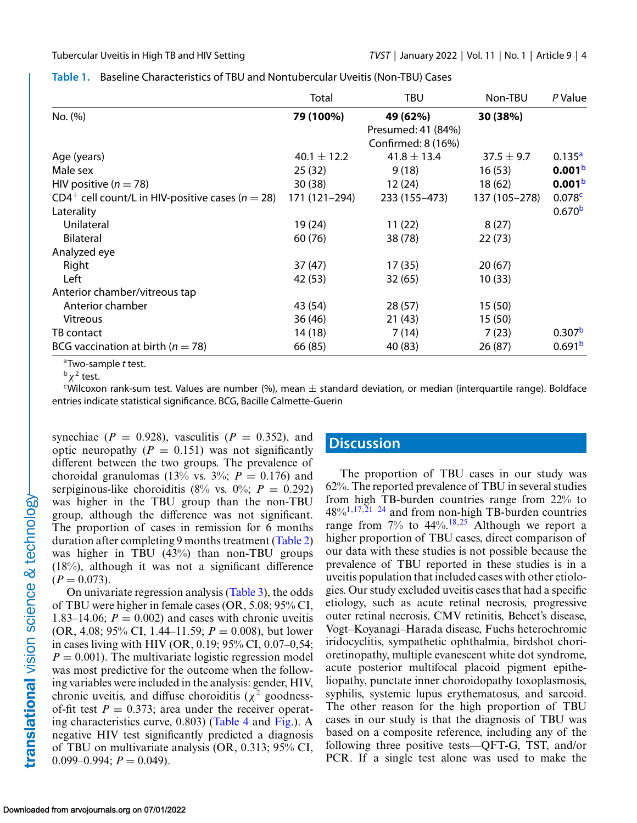|                                                                  | Total           | TBU                | Non-TBU        | P Value            |
|------------------------------------------------------------------|-----------------|--------------------|----------------|--------------------|
| No. (%)                                                          | 79 (100%)       | 49 (62%)           | 30 (38%)       |                    |
|                                                                  |                 | Presumed: 41 (84%) |                |                    |
|                                                                  |                 | Confirmed: 8 (16%) |                |                    |
| Age (years)                                                      | $40.1 \pm 12.2$ | $41.8 \pm 13.4$    | $37.5 \pm 9.7$ | 0.135 <sup>a</sup> |
| Male sex                                                         | 25(32)          | 9(18)              | 16(53)         | 0.001 <sup>b</sup> |
| HIV positive ( $n = 78$ )                                        | 30(38)          | 12 (24)            | 18 (62)        | 0.001 <sup>b</sup> |
| CD4 <sup>+</sup> cell count/L in HIV-positive cases ( $n = 28$ ) | 171 (121-294)   | 233 (155-473)      | 137 (105-278)  | 0.078c             |
| Laterality                                                       |                 |                    |                | 0.670 <sup>b</sup> |
| Unilateral                                                       | 19 (24)         | 11(22)             | 8(27)          |                    |
| <b>Bilateral</b>                                                 | 60 (76)         | 38 (78)            | 22(73)         |                    |
| Analyzed eye                                                     |                 |                    |                |                    |
| Right                                                            | 37(47)          | 17(35)             | 20(67)         |                    |
| Left                                                             | 42 (53)         | 32 (65)            | 10(33)         |                    |
| Anterior chamber/vitreous tap                                    |                 |                    |                |                    |
| Anterior chamber                                                 | 43 (54)         | 28(57)             | 15(50)         |                    |
| <b>Vitreous</b>                                                  | 36(46)          | 21(43)             | 15(50)         |                    |
| TB contact                                                       | 14(18)          | 7(14)              | 7(23)          | 0.307 <sup>b</sup> |
| BCG vaccination at birth ( $n = 78$ )                            | 66 (85)         | 40 (83)            | 26(87)         | 0.691 <sup>b</sup> |

#### <span id="page-3-0"></span>**Table 1.** Baseline Characteristics of TBU and Nontubercular Uveitis (Non-TBU) Cases

aTwo-sample *t* test.

 $^{\rm b}$   $\chi^2$  test.

 $c$ Wilcoxon rank-sum test. Values are number (%), mean  $\pm$  standard deviation, or median (interquartile range). Boldface entries indicate statistical significance. BCG, Bacille Calmette-Guerin

synechiae ( $P = 0.928$ ), vasculitis ( $P = 0.352$ ), and optic neuropathy  $(P = 0.151)$  was not significantly different between the two groups. The prevalence of choroidal granulomas (13% vs. 3%;  $P = 0.176$ ) and serpiginous-like choroiditis (8% vs. 0%;  $P = 0.292$ ) was higher in the TBU group than the non-TBU group, although the difference was not significant. The proportion of cases in remission for 6 months duration after completing 9 months treatment [\(Table 2\)](#page-4-0) was higher in TBU (43%) than non-TBU groups (18%), although it was not a significant difference  $(P = 0.073)$ .

On univariate regression analysis [\(Table 3\)](#page-5-0), the odds of TBU were higher in female cases (OR, 5.08; 95% CI, 1.83–14.06;  $P = 0.002$ ) and cases with chronic uveitis (OR, 4.08; 95% CI, 1.44–11.59; *P* = 0.008), but lower in cases living with HIV (OR, 0.19; 95% CI, 0.07–0,54;  $P = 0.001$ ). The multivariate logistic regression model was most predictive for the outcome when the following variables were included in the analysis: gender, HIV, chronic uveitis, and diffuse choroiditis ( $\chi^2$  goodnessof-fit test  $P = 0.373$ ; area under the receiver operating characteristics curve, 0.803) [\(Table 4](#page-5-0) and [Fig.\)](#page-5-0). A negative HIV test significantly predicted a diagnosis of TBU on multivariate analysis (OR, 0.313; 95% CI,  $0.099-0.994; P = 0.049$ .

#### **Discussion**

The proportion of TBU cases in our study was 62%. The reported prevalence of TBU in several studies from high TB-burden countries range from 22% to  $48\%/1,17,21-24$  and from non-high TB-burden countries range from  $7\%$  to  $44\%$ ,  $18,25$  Although we report a higher proportion of TBU cases, direct comparison of our data with these studies is not possible because the prevalence of TBU reported in these studies is in a uveitis population that included cases with other etiologies. Our study excluded uveitis cases that had a specific etiology, such as acute retinal necrosis, progressive outer retinal necrosis, CMV retinitis, Behcet's disease, Vogt–Koyanagi–Harada disease, Fuchs heterochromic iridocyclitis, sympathetic ophthalmia, birdshot chorioretinopathy, multiple evanescent white dot syndrome, acute posterior multifocal placoid pigment epitheliopathy, punctate inner choroidopathy toxoplasmosis, syphilis, systemic lupus erythematosus, and sarcoid. The other reason for the high proportion of TBU cases in our study is that the diagnosis of TBU was based on a composite reference, including any of the following three positive tests—QFT-G, TST, and/or PCR. If a single test alone was used to make the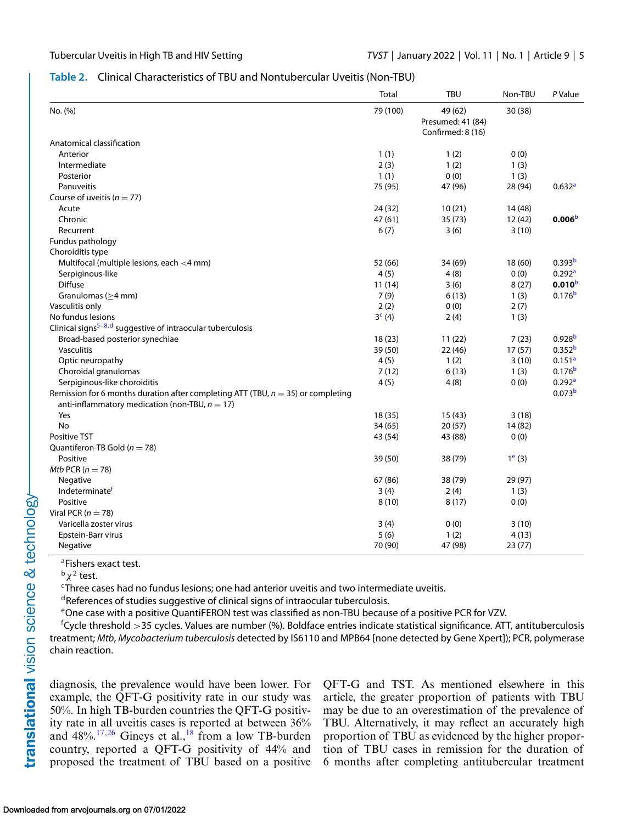#### <span id="page-4-0"></span>**Table 2.** Clinical Characteristics of TBU and Nontubercular Uveitis (Non-TBU)

|                                                                                     | <b>Total</b>       | <b>TBU</b>                                        | Non-TBU   | P Value            |
|-------------------------------------------------------------------------------------|--------------------|---------------------------------------------------|-----------|--------------------|
| No. (%)                                                                             | 79 (100)           | 49 (62)<br>Presumed: 41 (84)<br>Confirmed: 8 (16) | 30 (38)   |                    |
| Anatomical classification                                                           |                    |                                                   |           |                    |
| Anterior                                                                            | 1(1)               | 1(2)                                              | 0(0)      |                    |
| Intermediate                                                                        | 2(3)               | 1(2)                                              | 1(3)      |                    |
| Posterior                                                                           | 1(1)               | 0(0)                                              | 1(3)      |                    |
| Panuveitis                                                                          | 75 (95)            | 47 (96)                                           | 28 (94)   | 0.632a             |
| Course of uveitis ( $n = 77$ )                                                      |                    |                                                   |           |                    |
| Acute                                                                               | 24 (32)            | 10(21)                                            | 14 (48)   |                    |
| Chronic                                                                             | 47 (61)            | 35(73)                                            | 12(42)    | 0.006 <sup>b</sup> |
| Recurrent                                                                           | 6(7)               | 3(6)                                              | 3(10)     |                    |
| Fundus pathology                                                                    |                    |                                                   |           |                    |
| Choroiditis type                                                                    |                    |                                                   |           |                    |
| Multifocal (multiple lesions, each <4 mm)                                           | 52 (66)            | 34 (69)                                           | 18(60)    | 0.393 <sup>b</sup> |
| Serpiginous-like                                                                    | 4(5)               | 4(8)                                              | 0(0)      | 0.292 <sup>a</sup> |
| <b>Diffuse</b>                                                                      | 11(14)             | 3(6)                                              | 8(27)     | 0.010 <sup>b</sup> |
| Granulomas ( $\geq$ 4 mm)                                                           | 7(9)               | 6(13)                                             | 1(3)      | 0.176 <sup>b</sup> |
| Vasculitis only                                                                     | 2(2)               | 0(0)                                              | 2(7)      |                    |
| No fundus lesions                                                                   | 3 <sup>c</sup> (4) | 2(4)                                              | 1(3)      |                    |
| Clinical signs <sup>5-8,d</sup> suggestive of intraocular tuberculosis              |                    |                                                   |           |                    |
| Broad-based posterior synechiae                                                     | 18(23)             | 11(22)                                            | 7(23)     | 0.928 <sup>b</sup> |
| Vasculitis                                                                          | 39 (50)            | 22(46)                                            | 17(57)    | 0.352 <sup>b</sup> |
| Optic neuropathy                                                                    | 4(5)               | 1(2)                                              | 3(10)     | 0.151 <sup>a</sup> |
| Choroidal granulomas                                                                | 7(12)              | 6(13)                                             | 1(3)      | 0.176 <sup>b</sup> |
| Serpiginous-like choroiditis                                                        | 4(5)               | 4(8)                                              | 0(0)      | 0.292a             |
| Remission for 6 months duration after completing ATT (TBU, $n = 35$ ) or completing |                    |                                                   |           | 0.073 <sup>b</sup> |
| anti-inflammatory medication (non-TBU, $n = 17$ )                                   |                    |                                                   |           |                    |
| Yes                                                                                 | 18 (35)            | 15(43)                                            | 3(18)     |                    |
| No                                                                                  | 34(65)             | 20(57)                                            | 14(82)    |                    |
| <b>Positive TST</b>                                                                 | 43 (54)            | 43 (88)                                           | 0(0)      |                    |
| Quantiferon-TB Gold ( $n = 78$ )                                                    |                    |                                                   |           |                    |
| Positive                                                                            | 39 (50)            | 38 (79)                                           | $1^e$ (3) |                    |
| Mtb PCR ( $n = 78$ )                                                                |                    |                                                   |           |                    |
| Negative                                                                            | 67 (86)            | 38 (79)                                           | 29 (97)   |                    |
| Indeterminatef                                                                      | 3(4)               | 2(4)                                              | 1(3)      |                    |
| Positive                                                                            | 8(10)              | 8(17)                                             | 0(0)      |                    |
| Viral PCR ( $n = 78$ )                                                              |                    |                                                   |           |                    |
| Varicella zoster virus                                                              | 3(4)               | 0(0)                                              | 3(10)     |                    |
| Epstein-Barr virus                                                                  | 5(6)               | 1(2)                                              | 4(13)     |                    |
| Negative                                                                            | 70 (90)            | 47 (98)                                           | 23(77)    |                    |

<sup>a</sup>Fishers exact test.

 $^{\rm b}$   $\chi^2$  test.

<sup>c</sup>Three cases had no fundus lesions; one had anterior uveitis and two intermediate uveitis.

dReferences of studies suggestive of clinical signs of intraocular tuberculosis.

eOne case with a positive QuantiFERON test was classified as non-TBU because of a positive PCR for VZV.

f Cycle threshold >35 cycles. Values are number (%). Boldface entries indicate statistical significance. ATT, antituberculosis treatment; *Mtb*, *Mycobacterium tuberculosis* detected by IS6110 and MPB64 [none detected by Gene Xpert]); PCR, polymerase chain reaction.

diagnosis, the prevalence would have been lower. For example, the QFT-G positivity rate in our study was 50%. In high TB-burden countries the QFT-G positivity rate in all uveitis cases is reported at between 36% and  $48\frac{17}{26}$ . Gineys et al.,<sup>[18](#page-7-0)</sup> from a low TB-burden country, reported a QFT-G positivity of 44% and proposed the treatment of TBU based on a positive QFT-G and TST. As mentioned elsewhere in this article, the greater proportion of patients with TBU may be due to an overestimation of the prevalence of TBU. Alternatively, it may reflect an accurately high proportion of TBU as evidenced by the higher proportion of TBU cases in remission for the duration of 6 months after completing antitubercular treatment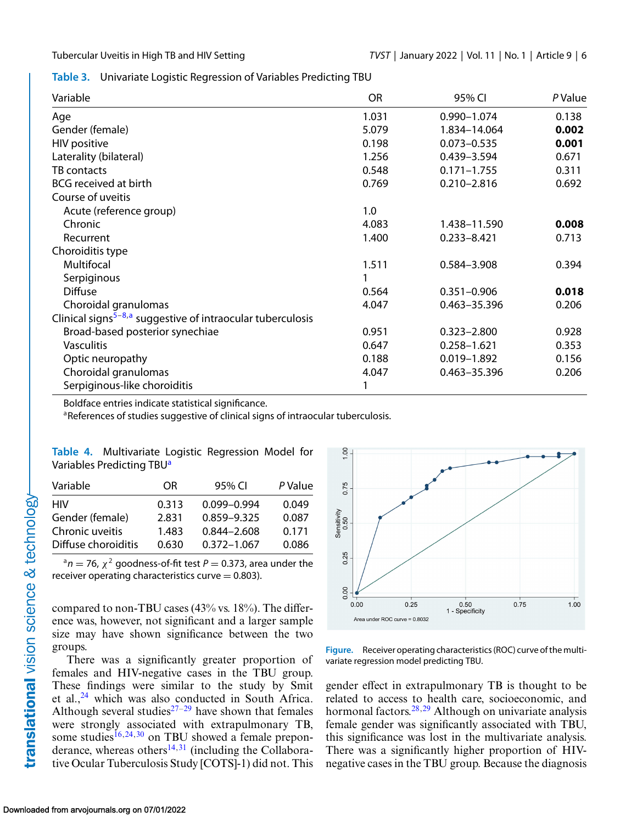<span id="page-5-0"></span>**Table 3.** Univariate Logistic Regression of Variables Predicting TBU

| Variable                                                               | <b>OR</b> | 95% CI          | P Value |
|------------------------------------------------------------------------|-----------|-----------------|---------|
| Age                                                                    | 1.031     | 0.990-1.074     | 0.138   |
| Gender (female)                                                        | 5.079     | 1.834-14.064    | 0.002   |
| <b>HIV</b> positive                                                    | 0.198     | $0.073 - 0.535$ | 0.001   |
| Laterality (bilateral)                                                 | 1.256     | 0.439-3.594     | 0.671   |
| TB contacts                                                            | 0.548     | $0.171 - 1.755$ | 0.311   |
| BCG received at birth                                                  | 0.769     | $0.210 - 2.816$ | 0.692   |
| Course of uveitis                                                      |           |                 |         |
| Acute (reference group)                                                | 1.0       |                 |         |
| Chronic                                                                | 4.083     | 1.438-11.590    | 0.008   |
| Recurrent                                                              | 1.400     | $0.233 - 8.421$ | 0.713   |
| Choroiditis type                                                       |           |                 |         |
| Multifocal                                                             | 1.511     | 0.584-3.908     | 0.394   |
| Serpiginous                                                            |           |                 |         |
| <b>Diffuse</b>                                                         | 0.564     | $0.351 - 0.906$ | 0.018   |
| Choroidal granulomas                                                   | 4.047     | 0.463-35.396    | 0.206   |
| Clinical signs <sup>5-8,a</sup> suggestive of intraocular tuberculosis |           |                 |         |
| Broad-based posterior synechiae                                        | 0.951     | $0.323 - 2.800$ | 0.928   |
| <b>Vasculitis</b>                                                      | 0.647     | $0.258 - 1.621$ | 0.353   |
| Optic neuropathy                                                       | 0.188     | $0.019 - 1.892$ | 0.156   |
| Choroidal granulomas                                                   | 4.047     | 0.463-35.396    | 0.206   |
| Serpiginous-like choroiditis                                           |           |                 |         |

Boldface entries indicate statistical significance.

aReferences of studies suggestive of clinical signs of intraocular tuberculosis.

| Table 4. Multivariate Logistic Regression Model for |  |  |
|-----------------------------------------------------|--|--|
| Variables Predicting TBU <sup>a</sup>               |  |  |

| Variable            | OR.   | 95% CI          | P Value |
|---------------------|-------|-----------------|---------|
| HIV                 | 0.313 | $0.099 - 0.994$ | 0.049   |
| Gender (female)     | 2.831 | 0.859-9.325     | 0.087   |
| Chronic uveitis     | 1.483 | $0.844 - 2.608$ | 0.171   |
| Diffuse choroiditis | 0.630 | $0.372 - 1.067$ | 0.086   |

 $a^a$ n = 76,  $\chi^2$  goodness-of-fit test P = 0.373, area under the receiver operating characteristics curve  $= 0.803$ ).

compared to non-TBU cases (43% vs. 18%). The difference was, however, not significant and a larger sample size may have shown significance between the two groups.

There was a significantly greater proportion of females and HIV-negative cases in the TBU group. These findings were similar to the study by Smit et al., $^{24}$  $^{24}$  $^{24}$  which was also conducted in South Africa. Although several studies<sup>[27–](#page-7-0)[29](#page-8-0)</sup> have shown that females were strongly associated with extrapulmonary TB, some studies<sup>[16,24,](#page-7-0)[30](#page-8-0)</sup> on TBU showed a female preponderance, whereas others $^{14,31}$  $^{14,31}$  $^{14,31}$  $^{14,31}$  (including the Collaborative Ocular Tuberculosis Study [COTS]-1) did not. This



**Figure.** Receiver operating characteristics (ROC) curve of the multivariate regression model predicting TBU.

gender effect in extrapulmonary TB is thought to be related to access to health care, socioeconomic, and hormonal factors.<sup>[28,29](#page-8-0)</sup> Although on univariate analysis female gender was significantly associated with TBU, this significance was lost in the multivariate analysis. There was a significantly higher proportion of HIVnegative cases in the TBU group. Because the diagnosis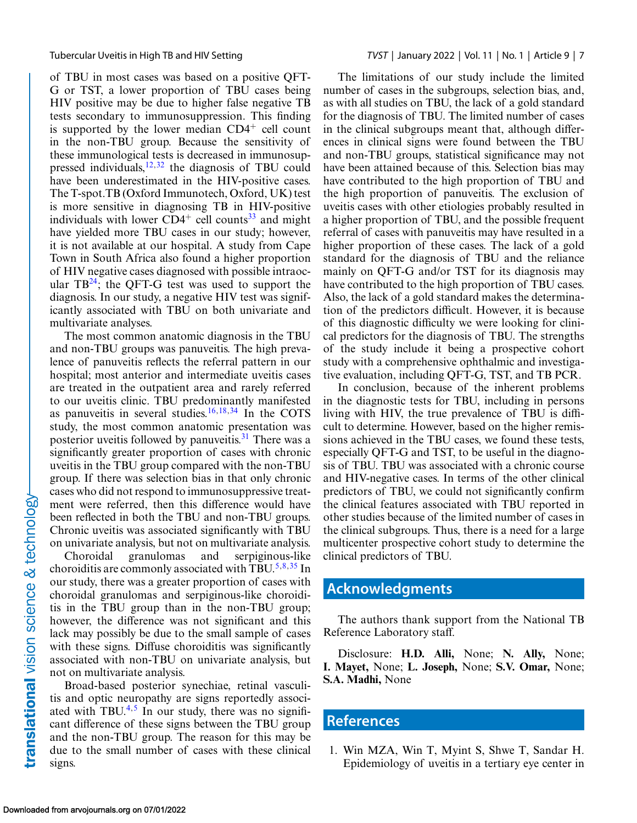<span id="page-6-0"></span>of TBU in most cases was based on a positive QFT-G or TST, a lower proportion of TBU cases being HIV positive may be due to higher false negative TB tests secondary to immunosuppression. This finding is supported by the lower median  $CD4^+$  cell count in the non-TBU group. Because the sensitivity of these immunological tests is decreased in immunosup-pressed individuals,<sup>[12,](#page-7-0)[32](#page-8-0)</sup> the diagnosis of TBU could have been underestimated in the HIV-positive cases. The T-spot.TB (Oxford Immunotech, Oxford, UK) test is more sensitive in diagnosing TB in HIV-positive individuals with lower  $CD4^+$  cell counts<sup>[33](#page-8-0)</sup> and might have yielded more TBU cases in our study; however, it is not available at our hospital. A study from Cape Town in South Africa also found a higher proportion of HIV negative cases diagnosed with possible intraocular  $TB^{24}$ ; the QFT-G test was used to support the diagnosis. In our study, a negative HIV test was significantly associated with TBU on both univariate and multivariate analyses.

The most common anatomic diagnosis in the TBU and non-TBU groups was panuveitis. The high prevalence of panuveitis reflects the referral pattern in our hospital; most anterior and intermediate uveitis cases are treated in the outpatient area and rarely referred to our uveitis clinic. TBU predominantly manifested as panuveitis in several studies. $16,18,34$  $16,18,34$  In the COTS study, the most common anatomic presentation was posterior uveitis followed by panuveitis.<sup>31</sup> There was a significantly greater proportion of cases with chronic uveitis in the TBU group compared with the non-TBU group. If there was selection bias in that only chronic cases who did not respond to immunosuppressive treatment were referred, then this difference would have been reflected in both the TBU and non-TBU groups. Chronic uveitis was associated significantly with TBU on univariate analysis, but not on multivariate analysis.

Choroidal granulomas and serpiginous-like choroiditis are commonly associated with TBU.<sup>5,8,[35](#page-8-0)</sup> In our study, there was a greater proportion of cases with choroidal granulomas and serpiginous-like choroiditis in the TBU group than in the non-TBU group; however, the difference was not significant and this lack may possibly be due to the small sample of cases with these signs. Diffuse choroiditis was significantly associated with non-TBU on univariate analysis, but not on multivariate analysis.

Broad-based posterior synechiae, retinal vasculitis and optic neuropathy are signs reportedly associ-ated with TBU.<sup>[4,5](#page-7-0)</sup> In our study, there was no significant difference of these signs between the TBU group and the non-TBU group. The reason for this may be due to the small number of cases with these clinical signs.

The limitations of our study include the limited number of cases in the subgroups, selection bias, and, as with all studies on TBU, the lack of a gold standard for the diagnosis of TBU. The limited number of cases in the clinical subgroups meant that, although differences in clinical signs were found between the TBU and non-TBU groups, statistical significance may not have been attained because of this. Selection bias may have contributed to the high proportion of TBU and the high proportion of panuveitis. The exclusion of uveitis cases with other etiologies probably resulted in a higher proportion of TBU, and the possible frequent referral of cases with panuveitis may have resulted in a higher proportion of these cases. The lack of a gold standard for the diagnosis of TBU and the reliance mainly on QFT-G and/or TST for its diagnosis may have contributed to the high proportion of TBU cases. Also, the lack of a gold standard makes the determination of the predictors difficult. However, it is because of this diagnostic difficulty we were looking for clinical predictors for the diagnosis of TBU. The strengths of the study include it being a prospective cohort study with a comprehensive ophthalmic and investigative evaluation, including QFT-G, TST, and TB PCR.

In conclusion, because of the inherent problems in the diagnostic tests for TBU, including in persons living with HIV, the true prevalence of TBU is difficult to determine. However, based on the higher remissions achieved in the TBU cases, we found these tests, especially QFT-G and TST, to be useful in the diagnosis of TBU. TBU was associated with a chronic course and HIV-negative cases. In terms of the other clinical predictors of TBU, we could not significantly confirm the clinical features associated with TBU reported in other studies because of the limited number of cases in the clinical subgroups. Thus, there is a need for a large multicenter prospective cohort study to determine the clinical predictors of TBU.

### **Acknowledgments**

The authors thank support from the National TB Reference Laboratory staff.

Disclosure: **H.D. Alli,** None; **N. Ally,** None; **I. Mayet,** None; **L. Joseph,** None; **S.V. Omar,** None; **S.A. Madhi,** None

# **References**

1. Win MZA, Win T, Myint S, Shwe T, Sandar H. Epidemiology of uveitis in a tertiary eye center in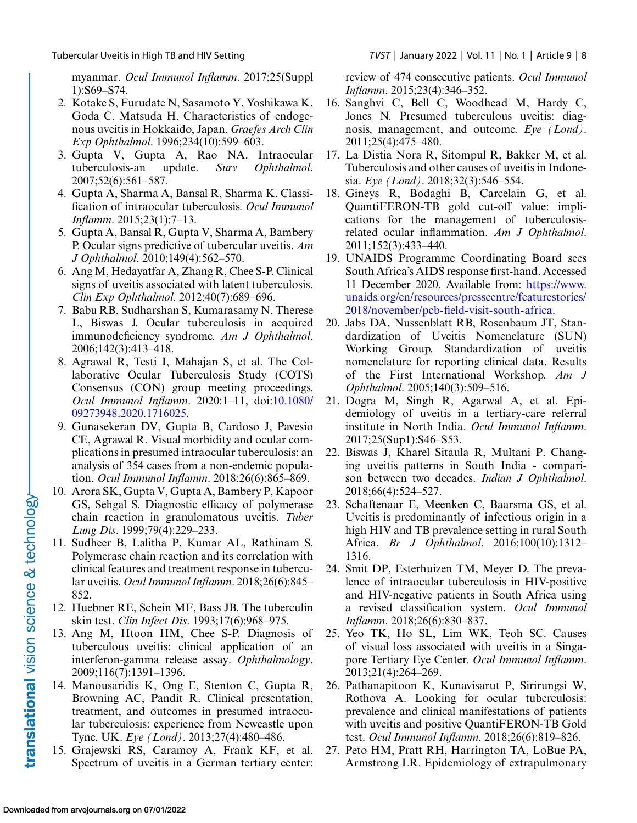<span id="page-7-0"></span>myanmar. *Ocul Immunol Inflamm*. 2017;25(Suppl 1):S69–S74.

- 2. Kotake S, Furudate N, Sasamoto Y, Yoshikawa K, Goda C, Matsuda H. Characteristics of endogenous uveitis in Hokkaido, Japan. *Graefes Arch Clin Exp Ophthalmol*. 1996;234(10):599–603.
- 3. Gupta V, Gupta A, Rao NA. Intraocular tuberculosis-an update. *Surv Ophthalmol*. 2007;52(6):561–587.
- 4. Gupta A, Sharma A, Bansal R, Sharma K. Classification of intraocular tuberculosis. *Ocul Immunol Inflamm*. 2015;23(1):7–13.
- 5. Gupta A, Bansal R, Gupta V, Sharma A, Bambery P. Ocular signs predictive of tubercular uveitis. *Am J Ophthalmol*. 2010;149(4):562–570.
- 6. Ang M, Hedayatfar A, Zhang R, Chee S-P. Clinical signs of uveitis associated with latent tuberculosis. *Clin Exp Ophthalmol*. 2012;40(7):689–696.
- 7. Babu RB, Sudharshan S, Kumarasamy N, Therese L, Biswas J. Ocular tuberculosis in acquired immunodeficiency syndrome. *Am J Ophthalmol*. 2006;142(3):413–418.
- 8. Agrawal R, Testi I, Mahajan S, et al. The Collaborative Ocular Tuberculosis Study (COTS) Consensus (CON) group meeting proceedings. *Ocul Immunol Inflamm*[. 2020:1–11, doi:10.1080/](http://doi.org/10.1080/09273948.2020.1716025) 09273948.2020.1716025.
- 9. Gunasekeran DV, Gupta B, Cardoso J, Pavesio CE, Agrawal R. Visual morbidity and ocular complications in presumed intraocular tuberculosis: an analysis of 354 cases from a non-endemic population. *Ocul Immunol Inflamm*. 2018;26(6):865–869.
- 10. Arora SK, Gupta V, Gupta A, Bambery P, Kapoor GS, Sehgal S. Diagnostic efficacy of polymerase chain reaction in granulomatous uveitis. *Tuber Lung Dis*. 1999;79(4):229–233.
- 11. Sudheer B, Lalitha P, Kumar AL, Rathinam S. Polymerase chain reaction and its correlation with clinical features and treatment response in tubercular uveitis. *Ocul Immunol Inflamm*. 2018;26(6):845– 852.
- 12. Huebner RE, Schein MF, Bass JB. The tuberculin skin test. *Clin Infect Dis*. 1993;17(6):968–975.
- 13. Ang M, Htoon HM, Chee S-P. Diagnosis of tuberculous uveitis: clinical application of an interferon-gamma release assay. *Ophthalmology*. 2009;116(7):1391–1396.
- 14. Manousaridis K, Ong E, Stenton C, Gupta R, Browning AC, Pandit R. Clinical presentation, treatment, and outcomes in presumed intraocular tuberculosis: experience from Newcastle upon Tyne, UK. *Eye (Lond)*. 2013;27(4):480–486.
- 15. Grajewski RS, Caramoy A, Frank KF, et al. Spectrum of uveitis in a German tertiary center:

review of 474 consecutive patients. *Ocul Immunol Inflamm*. 2015;23(4):346–352.

- 16. Sanghvi C, Bell C, Woodhead M, Hardy C, Jones N. Presumed tuberculous uveitis: diagnosis, management, and outcome. *Eye (Lond)*. 2011;25(4):475–480.
- 17. La Distia Nora R, Sitompul R, Bakker M, et al. Tuberculosis and other causes of uveitis in Indonesia. *Eye (Lond)*. 2018;32(3):546–554.
- 18. Gineys R, Bodaghi B, Carcelain G, et al. QuantiFERON-TB gold cut-off value: implications for the management of tuberculosisrelated ocular inflammation. *Am J Ophthalmol*. 2011;152(3):433–440.
- 19. UNAIDS Programme Coordinating Board sees South Africa's AIDS response first-hand. Accessed 11 December 2020. Available from: https://www. [unaids.org/en/resources/presscentre/featurestories/](https://www.unaids.org/en/resources/presscentre/featurestories/2018/november/pcb-field-visit-south-africa) 2018/november/pcb-field-visit-south-africa.
- 20. Jabs DA, Nussenblatt RB, Rosenbaum JT, Standardization of Uveitis Nomenclature (SUN) Working Group. Standardization of uveitis nomenclature for reporting clinical data. Results of the First International Workshop. *Am J Ophthalmol*. 2005;140(3):509–516.
- 21. Dogra M, Singh R, Agarwal A, et al. Epidemiology of uveitis in a tertiary-care referral institute in North India. *Ocul Immunol Inflamm*. 2017;25(Sup1):S46–S53.
- 22. Biswas J, Kharel Sitaula R, Multani P. Changing uveitis patterns in South India - comparison between two decades. *Indian J Ophthalmol*. 2018;66(4):524–527.
- 23. Schaftenaar E, Meenken C, Baarsma GS, et al. Uveitis is predominantly of infectious origin in a high HIV and TB prevalence setting in rural South Africa. *Br J Ophthalmol*. 2016;100(10):1312– 1316.
- 24. Smit DP, Esterhuizen TM, Meyer D. The prevalence of intraocular tuberculosis in HIV-positive and HIV-negative patients in South Africa using a revised classification system. *Ocul Immunol Inflamm*. 2018;26(6):830–837.
- 25. Yeo TK, Ho SL, Lim WK, Teoh SC. Causes of visual loss associated with uveitis in a Singapore Tertiary Eye Center. *Ocul Immunol Inflamm*. 2013;21(4):264–269.
- 26. Pathanapitoon K, Kunavisarut P, Sirirungsi W, Rothova A. Looking for ocular tuberculosis: prevalence and clinical manifestations of patients with uveitis and positive QuantiFERON-TB Gold test. *Ocul Immunol Inflamm*. 2018;26(6):819–826.
- 27. Peto HM, Pratt RH, Harrington TA, LoBue PA, Armstrong LR. Epidemiology of extrapulmonary